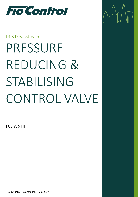

### DNS Downstream

# PRESSURE REDUCING & STABILISING CONTROL VALVE

 $\sqrt{1}$ 

DATA SHEET

Copyright© FloControl Ltd. – May 2020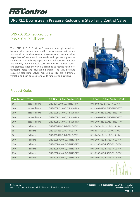

# DNS XLC Downstream Pressure Reducing & Stabilising Control Valve

#### DNS XLC 310 Reduced Bore DNS XLC 410 Full Bore

The DNS XLC 310 & 410 models are globe-pattern hydraulically operated automatic control valves that reduce and stabilise the downstream pressure to a constant value, regardless of variation in demands and upstream pressure conditions. Normally equipped with visual position indicator and entirely made in ductile cast iron with FBT epoxy coating and stainless steel, the valve is designed to reduce head loss, throttling noise and cavitation damage. The DNS pressure reducing stabilising valves XLC 310 & 410 are extremely versatile and can be used for a wide range of applications.



#### Product Codes

| Size [mm] | <b>Trim</b>         | 0.7 Bar - 7 Bar Product Codes | 1.5 Bar - 15 Bar Product Codes |
|-----------|---------------------|-------------------------------|--------------------------------|
| 80        | <b>Reduced Bore</b> | DNS-80R-310-0.7/7-PN16-PRV    | DNS-80R-310-1.5/15-PN16-PRV    |
| 100       | <b>Reduced Bore</b> | DNS-100R-310-0.7/7-PN16-PRV   | DNS-100R-310-1.5/15-PN16-PRV   |
| 150       | <b>Reduced Bore</b> | DNS-150R-310-0.7/7-PN16-PRV   | DNS-150R-310-1.5/15-PN16-PRV   |
| 200       | <b>Reduced Bore</b> | DNS-200R-310-0.7/7-PN16-PRV   | DNS-200R-310-1.5/15-PN16-PRV   |
| 300       | <b>Reduced Bore</b> | DNS-300R-310-0.7/7-PN16-PRV   | DNS-300R-310-1.5/15-PN16-PRV   |
| 50        | <b>Full Bore</b>    | DNS-50F-410-0.7/7-PN16-PRV    | DNS-50F-410-1.5/15-PN16-PRV    |
| 65        | <b>Full Bore</b>    | DNS-65F-410-0.7/7-PN16-PRV    | DNS-65F-410-1.5/15-PN16-PRV    |
| 80        | <b>Full Bore</b>    | DNS-80F-410-0.7/7-PN16-PRV    | DNS-80F-410-1.5/15-PN16-PRV    |
| 100       | <b>Full Bore</b>    | DNS-100F-410-0.7/7-PN16-PRV   | DNS-100F-410-1.5/15-PN16-PRV   |
| 150       | <b>Full Bore</b>    | DNS-150F-410-0.7/7-PN16-PRV   | DNS-150F-410-1.5/15-PN16-PRV   |
| 200       | <b>Full Bore</b>    | DNS-200F-410-0.7/7-PN16-PRV   | DNS-200F-410-1.5/15-PN16-PRV   |
| 250       | <b>Full Bore</b>    | DNS-250F-410-0.7/7-PN16-PRV   | DNS-250F-410-1.5/15-PN16-PRV   |
| 300       | <b>Full Bore</b>    | DNS-300F-410-0.7/7-PN16-PRV   | DNS-300F-410-1.5/15-PN16-PRV   |

T 01282 564 425 F 01282 56426 E sales@flocontrol.ltd.uk **www.flocontrol.ltd.uk**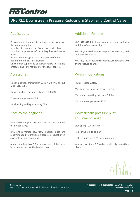# **FTO Control**

## DNS XLC Downstream Pressure Reducing & Stabilising Control Valve

#### Applications

Downstream of pumps to reduce the pressure on the main supply line.

Installed in derivation from the main line to stabilise the pressure of secondary line and water users.

As a protection against rise in pressure of industrial equipment and civil installations.

On the inlet supply line of storage tanks to stabilise pressure and flow required for the level control.

#### Accessories

Linear position transmitter with 4-20 mA output Mod. DNS CSPL.

On-off position transmitter Mod. CSA CSPO.

Pressure measurement kit.

Self-flushing and high capacity filter.

#### Note to the engineer

Inlet and outlet pressure and flow rate are required for proper sizing.

DNS anti-cavitation low flow stability plugs are recommended to provide an accurate regulation in case of low flow conditions.

A minimum length of 3 DN downstream of the valve is recommended for the best accuracy.

#### Additional Features

XLC 310/410-FR downstream pressure reducing with back-flow prevention.

XLC 310/410-H downstream pressure reducing with high sensitivity pilot.

XLC 310/410-G downstream pressure reducing with over pressure guard.

#### Working Conditions

Fluid: Treated water.

Minimum operating pressure: 0.7 Bar.

Maximum operating pressure: 25 Bar.

Maximum temperature: 70°C.

#### Downstream pressure pilot adjustment range

Blue spring: 0.7 to 7 Bar.

Red spring: 1.5 to 15 Bar.

Higher values up to 25 Bar on request.

Values lower than 0.7 available with high sensitivity pilots.



T 01282 564 425 F 01282 56426 E sales@flocontrol.ltd.uk **www.flocontrol.ltd.uk**